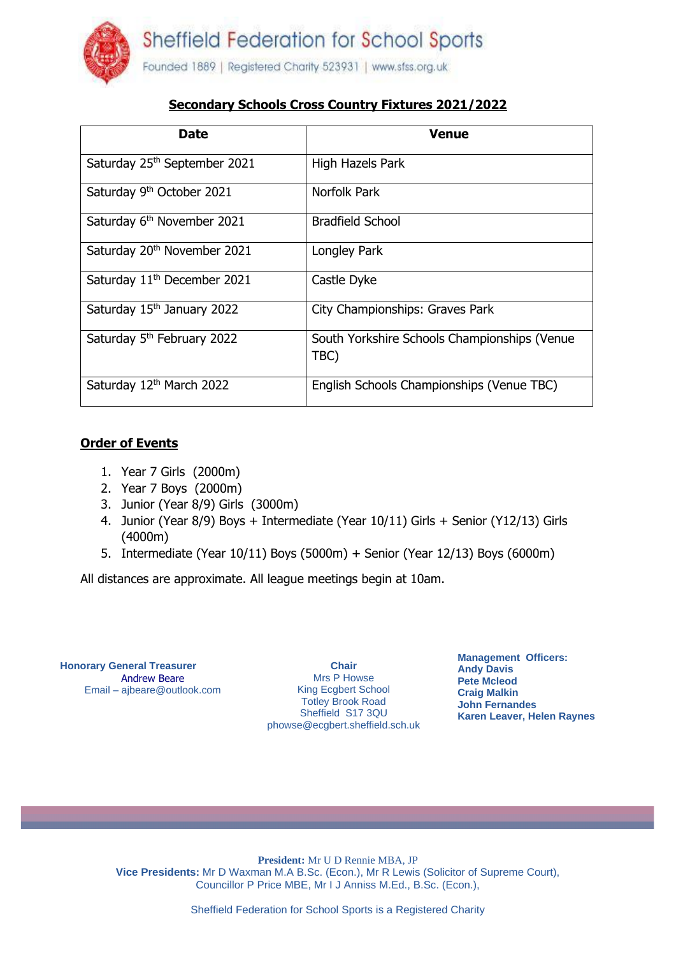

## **Secondary Schools Cross Country Fixtures 2021/2022**

| <b>Date</b>                             | <b>Venue</b>                                         |
|-----------------------------------------|------------------------------------------------------|
| Saturday 25th September 2021            | High Hazels Park                                     |
| Saturday 9 <sup>th</sup> October 2021   | Norfolk Park                                         |
| Saturday 6 <sup>th</sup> November 2021  | <b>Bradfield School</b>                              |
| Saturday 20 <sup>th</sup> November 2021 | Longley Park                                         |
| Saturday 11 <sup>th</sup> December 2021 | Castle Dyke                                          |
| Saturday 15th January 2022              | City Championships: Graves Park                      |
| Saturday 5 <sup>th</sup> February 2022  | South Yorkshire Schools Championships (Venue<br>TBC) |
| Saturday 12th March 2022                | English Schools Championships (Venue TBC)            |

## **Order of Events**

- 1. Year 7 Girls (2000m)
- 2. Year 7 Boys (2000m)
- 3. Junior (Year 8/9) Girls (3000m)
- 4. Junior (Year 8/9) Boys + Intermediate (Year 10/11) Girls + Senior (Y12/13) Girls (4000m)
- 5. Intermediate (Year 10/11) Boys (5000m) + Senior (Year 12/13) Boys (6000m)

All distances are approximate. All league meetings begin at 10am.

**Honorary General Treasurer** Andrew Beare Email – ajbeare@outlook.com

**Chair** Mrs P Howse King Ecgbert School Totley Brook Road Sheffield S17 3QU phowse@ecgbert.sheffield.sch.uk **Management Officers: Andy Davis Pete Mcleod Craig Malkin John Fernandes Karen Leaver, Helen Raynes**

**President:** Mr U D Rennie MBA, JP **Vice Presidents:** Mr D Waxman M.A B.Sc. (Econ.), Mr R Lewis (Solicitor of Supreme Court), Councillor P Price MBE, Mr I J Anniss M.Ed., B.Sc. (Econ.),

Sheffield Federation for School Sports is a Registered Charity